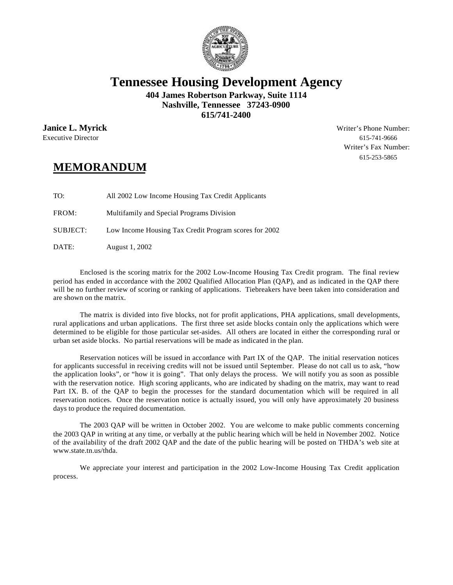

## **Tennessee Housing Development Agency**

**404 James Robertson Parkway, Suite 1114 Nashville, Tennessee 37243-0900 615/741-2400**

Executive Director 615-741-9666

**Janice L. Myrick** Writer's Phone Number: Writer's Fax Number: 615-253-5865

## **MEMORANDUM**

TO: All 2002 Low Income Housing Tax Credit Applicants FROM: Multifamily and Special Programs Division SUBJECT: Low Income Housing Tax Credit Program scores for 2002 DATE: August 1, 2002

Enclosed is the scoring matrix for the 2002 Low-Income Housing Tax Credit program. The final review period has ended in accordance with the 2002 Qualified Allocation Plan (QAP), and as indicated in the QAP there will be no further review of scoring or ranking of applications. Tiebreakers have been taken into consideration and are shown on the matrix.

The matrix is divided into five blocks, not for profit applications, PHA applications, small developments, rural applications and urban applications. The first three set aside blocks contain only the applications which were determined to be eligible for those particular set-asides. All others are located in either the corresponding rural or urban set aside blocks. No partial reservations will be made as indicated in the plan.

Reservation notices will be issued in accordance with Part IX of the QAP. The initial reservation notices for applicants successful in receiving credits will not be issued until September. Please do not call us to ask, "how the application looks", or "how it is going". That only delays the process. We will notify you as soon as possible with the reservation notice. High scoring applicants, who are indicated by shading on the matrix, may want to read Part IX. B. of the QAP to begin the processes for the standard documentation which will be required in all reservation notices. Once the reservation notice is actually issued, you will only have approximately 20 business days to produce the required documentation.

The 2003 QAP will be written in October 2002. You are welcome to make public comments concerning the 2003 QAP in writing at any time, or verbally at the public hearing which will be held in November 2002. Notice of the availability of the draft 2002 QAP and the date of the public hearing will be posted on THDA's web site at www.state.tn.us/thda.

We appreciate your interest and participation in the 2002 Low-Income Housing Tax Credit application process.